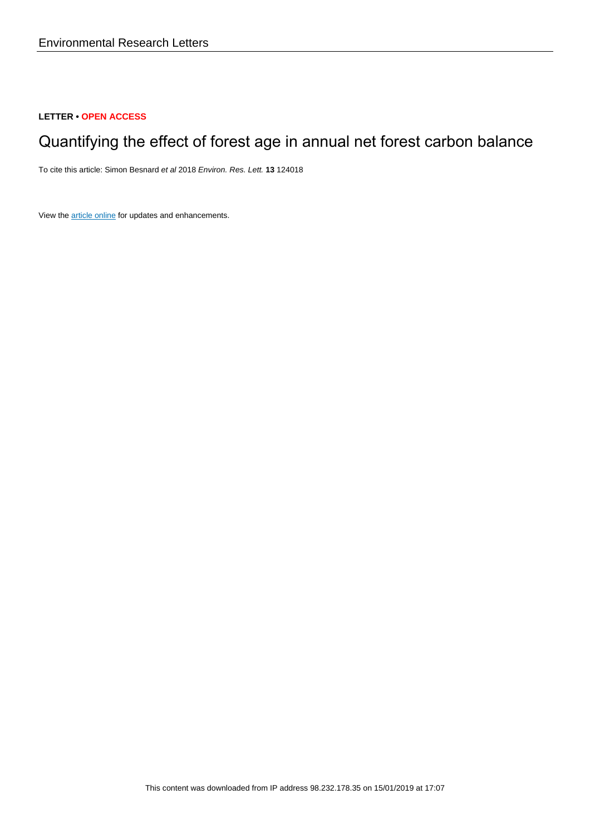### **LETTER • OPEN ACCESS**

# Quantifying the effect of forest age in annual net forest carbon balance

To cite this article: Simon Besnard et al 2018 Environ. Res. Lett. **13** 124018

View the [article online](https://doi.org/10.1088/1748-9326/aaeaeb) for updates and enhancements.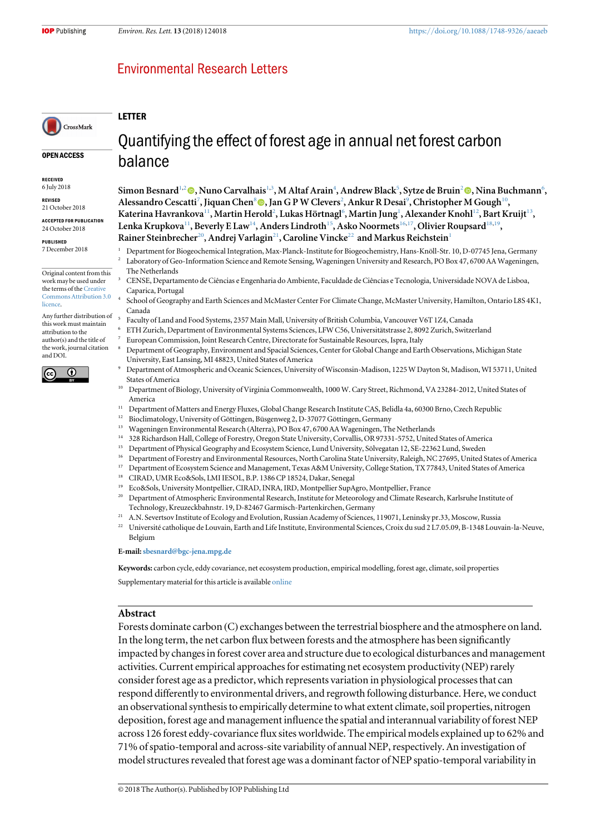## **Environmental Research Letters**

#### LETTER

balance

## OPEN ACCESS

CrossMark

RECEIVED

6 July 2018

REVISED 21 October 2018

ACCEPTED FOR PUBLICATION 24 October 2018

PUBLISHED 7 December 2018

Original content from this work may be used under the terms of the [Creative](http://creativecommons.org/licenses/by/3.0) [Commons Attribution 3.0](http://creativecommons.org/licenses/by/3.0) **licence** 

Any further distribution of this work must maintain attribution to the author(s) and the title of the work, journal citation and DOI.



# Quantifying the effect of forest age in annual net forest carbon

Simon Besnard<sup>1[,](https://orcid.org/0000-0002-1137-103X)2</sup> (®, Nuno Carvalhais<sup>1,3</sup>, M Altaf Arain<sup>4</sup>, Andrew Black<sup>5</sup>, Sytze de Bruin<sup>2</sup> (®, Nina Buchmann<sup>6</sup>, Alessandro Cescatti<sup>7</sup>, Jiquan Chen<sup>8</sup> (D, Jan G P W Clevers<sup>2</sup>, Ankur R Desai<sup>9</sup>, Christopher M Gough<sup>10</sup>, Katerina Havrankova $^{11}$ , Martin Herold $^{2}$ , Lukas Hörtnagl $^{6}$ , Martin Jung $^{1}$ , Alexander Knohl $^{12}$ , Bart Kruijt $^{13}$ , Lenka Krupkova<sup>11</sup>, Beverly E Law<sup>14</sup>, Anders Lindroth<sup>15</sup>, Asko Noormets<sup>16,17</sup>, Olivier Roupsard<sup>18,19</sup>, Rainer Steinbrecher<sup>20</sup>, Andrej Varlagin<sup>21</sup>, Caroline Vincke<sup>22</sup> and Markus Reichstein<sup>1</sup>

- <sup>1</sup> Department for Biogeochemical Integration, Max-Planck-Institute for Biogeochemistry, Hans-Knöll-Str. 10, D-07745 Jena, Germany <sup>2</sup> Laboratory of Geo-Information Science and Remote Sensing, Wageningen University and Research, PO Box 47, 6700 AA Wageningen, The Netherlands
- <sup>3</sup> CENSE, Departamento de Ciências e Engenharia do Ambiente, Faculdade de Ciências e Tecnologia, Universidade NOVA de Lisboa, Caparica, Portugal
- <sup>4</sup> School of Geography and Earth Sciences and McMaster Center For Climate Change, McMaster University, Hamilton, Ontario L8S 4K1, Canada
- <sup>5</sup> Faculty of Land and Food Systems, 2357 Main Mall, University of British Columbia, Vancouver V6T 1Z4, Canada
- <sup>6</sup> ETH Zurich, Department of Environmental Systems Sciences, LFW C56, Universitätstrasse 2, 8092 Zurich, Switzerland
- <sup>7</sup> European Commission, Joint Research Centre, Directorate for Sustainable Resources, Ispra, Italy
- <sup>8</sup> Department of Geography, Environment and Spacial Sciences, Center for Global Change and Earth Observations, Michigan State University, East Lansing, MI 48823, United States of America
- <sup>9</sup> Department of Atmospheric and Oceanic Sciences, University of Wisconsin-Madison, 1225 W Dayton St, Madison, WI 53711, United States of America
- <sup>10</sup> Department of Biology, University of Virginia Commonwealth, 1000 W. Cary Street, Richmond, VA 23284-2012, United States of America
- <sup>11</sup> Department of Matters and Energy Fluxes, Global Change Research Institute CAS, Belidla 4a, 60300 Brno, Czech Republic<br><sup>12</sup> Bioclimatelogy University of Căttingen, Büssenweg 2, D. 37077 Căttingen, Carmany
- <sup>12</sup> Bioclimatology, University of Göttingen, Büsgenweg 2, D-37077 Göttingen, Germany<br><sup>13</sup> Wageningen Environmental Besearch (Alterra), PO Box 47, 6700, A A Wageningen, Th
- <sup>13</sup> Wageningen Environmental Research (Alterra), PO Box 47, 6700 AA Wageningen, The Netherlands
- <sup>14</sup> 328 Richardson Hall, College of Forestry, Oregon State University, Corvallis, OR 97331-5752, United States of America
- <sup>15</sup> Department of Physical Geography and Ecosystem Science, Lund University, Sölvegatan 12, SE-22362 Lund, Sweden
- <sup>16</sup> Department of Forestry and Environmental Resources, North Carolina State University, Raleigh, NC 27695, United States of America<br><sup>17</sup> Department of Ecosystem Science and Management, Texas A&M University, College Stati
- <sup>17</sup> Department of Ecosystem Science and Management, Texas A&M University, College Station, TX 77843, United States of America
- <sup>18</sup> CIRAD, UMR Eco&Sols, LMI IESOL, B.P. 1386 CP 18524, Dakar, Senegal
- <sup>19</sup> Eco&Sols, University Montpellier, CIRAD, INRA, IRD, Montpellier SupAgro, Montpellier, France
- <sup>20</sup> Department of Atmospheric Environmental Research, Institute for Meteorology and Climate Research, Karlsruhe Institute of Technology, Kreuzeckbahnstr. 19, D-82467 Garmisch-Partenkirchen, Germany
- <sup>21</sup> A.N. Severtsov Institute of Ecology and Evolution, Russian Academy of Sciences, 119071, Leninsky pr.33, Moscow, Russia<br><sup>22</sup> Université esthelisus de Louvein, Farth and Life Institute, Environmental Sciences, *Croix d*
- <sup>22</sup> Université catholique de Louvain, Earth and Life Institute, Environmental Sciences, Croix du sud 2 L7.05.09, B-1348 Louvain-la-Neuve, Belgium

E-mail:[sbesnard@bgc-jena.mpg.de](mailto:sbesnard@bgc-jena.mpg.de)

Keywords: carbon cycle, eddy covariance, net ecosystem production, empirical modelling, forest age, climate, soil properties

Supplementary material for this article is available [online](https://doi.org/10.1088/1748-9326/aaeaeb)

#### Abstract

Forests dominate carbon (C) exchanges between the terrestrial biosphere and the atmosphere on land. In the long term, the net carbon flux between forests and the atmosphere has been significantly impacted by changes in forest cover area and structure due to ecological disturbances and management activities. Current empirical approaches for estimating net ecosystem productivity (NEP) rarely consider forest age as a predictor, which represents variation in physiological processes that can respond differently to environmental drivers, and regrowth following disturbance. Here, we conduct an observational synthesis to empirically determine to what extent climate, soil properties, nitrogen deposition, forest age and management influence the spatial and interannual variability of forest NEP across 126 forest eddy-covariance flux sites worldwide. The empirical models explained up to 62% and 71% of spatio-temporal and across-site variability of annual NEP, respectively. An investigation of model structures revealed that forest age was a dominant factor of NEP spatio-temporal variability in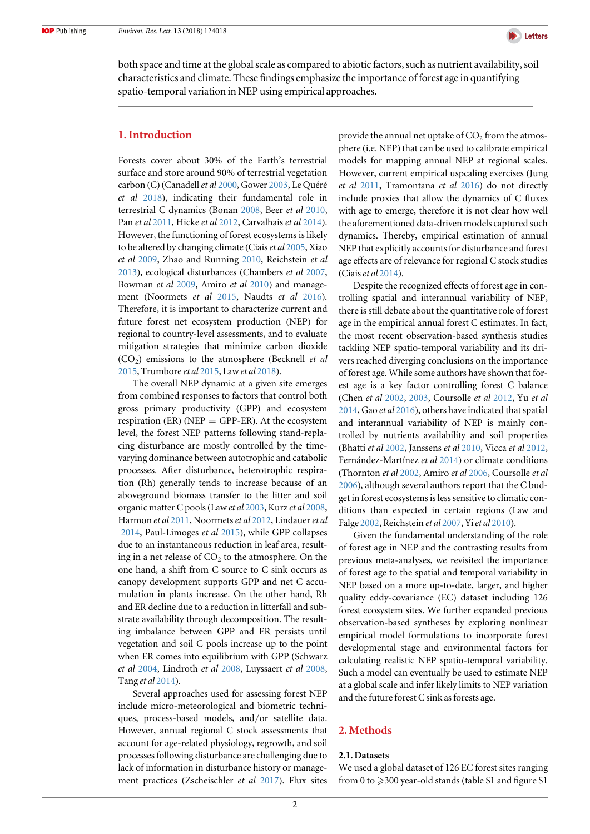

both space and time at the global scale as compared to abiotic factors, such as nutrient availability, soil characteristics and climate. These findings emphasize the importance of forest age in quantifying spatio-temporal variation in NEP using empirical approaches.

#### 1. Introduction

Forests cover about 30% of the Earth's terrestrial surface and store around 90% of terrestrial vegetation carbon (C) (Canadell et al [2000](#page-9-0), Gower [2003,](#page-9-0) Le Quéré et al [2018](#page-10-0)), indicating their fundamental role in terrestrial C dynamics (Bonan [2008](#page-9-0), Beer et al [2010,](#page-9-0) Pan et al [2011](#page-10-0), Hicke et al [2012](#page-9-0), Carvalhais et al [2014](#page-9-0)). However, the functioning of forest ecosystems is likely to be altered by changing climate (Ciais *et al* [2005,](#page-9-0) Xiao et al [2009,](#page-10-0) Zhao and Running [2010](#page-10-0), Reichstein et al [2013](#page-10-0)), ecological disturbances (Chambers et al [2007,](#page-9-0) Bowman et al [2009](#page-9-0), Amiro et al [2010](#page-9-0)) and management (Noormets et al [2015](#page-10-0), Naudts et al [2016](#page-10-0)). Therefore, it is important to characterize current and future forest net ecosystem production (NEP) for regional to country-level assessments, and to evaluate mitigation strategies that minimize carbon dioxide  $(CO<sub>2</sub>)$  emissions to the atmosphere (Becknell *et al* [2015](#page-9-0), Trumbore et al [2015,](#page-10-0) Lawet al [2018](#page-10-0)).

The overall NEP dynamic at a given site emerges from combined responses to factors that control both gross primary productivity (GPP) and ecosystem respiration (ER) (NEP  $=$  GPP-ER). At the ecosystem level, the forest NEP patterns following stand-replacing disturbance are mostly controlled by the timevarying dominance between autotrophic and catabolic processes. After disturbance, heterotrophic respiration (Rh) generally tends to increase because of an aboveground biomass transfer to the litter and soil organic matter C pools(Lawet al [2003,](#page-10-0) Kurz et al [2008,](#page-10-0) Harmon et al [2011](#page-9-0), Noormets et al [2012](#page-10-0), Lindauer et al [2014](#page-10-0), Paul-Limoges et al [2015](#page-10-0)), while GPP collapses due to an instantaneous reduction in leaf area, resulting in a net release of  $CO<sub>2</sub>$  to the atmosphere. On the one hand, a shift from C source to C sink occurs as canopy development supports GPP and net C accumulation in plants increase. On the other hand, Rh and ER decline due to a reduction in litterfall and substrate availability through decomposition. The resulting imbalance between GPP and ER persists until vegetation and soil C pools increase up to the point when ER comes into equilibrium with GPP (Schwarz et al [2004,](#page-10-0) Lindroth et al [2008](#page-10-0), Luyssaert et al [2008,](#page-10-0) Tang et al [2014](#page-10-0)).

Several approaches used for assessing forest NEP include micro-meteorological and biometric techniques, process-based models, and/or satellite data. However, annual regional C stock assessments that account for age-related physiology, regrowth, and soil processes following disturbance are challenging due to lack of information in disturbance history or management practices (Zscheischler et al [2017](#page-10-0)). Flux sites provide the annual net uptake of  $CO<sub>2</sub>$  from the atmosphere (i.e. NEP) that can be used to calibrate empirical models for mapping annual NEP at regional scales. However, current empirical uspcaling exercises (Jung et al [2011,](#page-10-0) Tramontana et al [2016](#page-10-0)) do not directly include proxies that allow the dynamics of C fluxes with age to emerge, therefore it is not clear how well the aforementioned data-driven models captured such dynamics. Thereby, empirical estimation of annual NEP that explicitly accounts for disturbance and forest age effects are of relevance for regional C stock studies (Ciais et al  $2014$ ).

Despite the recognized effects of forest age in controlling spatial and interannual variability of NEP, there is still debate about the quantitative role of forest age in the empirical annual forest C estimates. In fact, the most recent observation-based synthesis studies tackling NEP spatio-temporal variability and its drivers reached diverging conclusions on the importance of forest age. While some authors have shown that forest age is a key factor controlling forest C balance (Chen et al [2002,](#page-9-0) [2003](#page-9-0), Coursolle et al [2012,](#page-9-0) Yu et al [2014,](#page-10-0) Gao et al [2016](#page-9-0)), others have indicated that spatial and interannual variability of NEP is mainly controlled by nutrients availability and soil properties (Bhatti et al [2002](#page-9-0), Janssens et al [2010,](#page-10-0) Vicca et al [2012](#page-10-0), Fernández-Martínez et al [2014](#page-9-0)) or climate conditions (Thornton et al [2002,](#page-10-0) Amiro et al [2006](#page-9-0), Coursolle et al [2006](#page-9-0)), although several authors report that the C budget in forest ecosystems is less sensitive to climatic conditions than expected in certain regions (Law and Falge [2002,](#page-10-0) Reichstein et al [2007](#page-10-0), Yi et al [2010](#page-10-0)).

Given the fundamental understanding of the role of forest age in NEP and the contrasting results from previous meta-analyses, we revisited the importance of forest age to the spatial and temporal variability in NEP based on a more up-to-date, larger, and higher quality eddy-covariance (EC) dataset including 126 forest ecosystem sites. We further expanded previous observation-based syntheses by exploring nonlinear empirical model formulations to incorporate forest developmental stage and environmental factors for calculating realistic NEP spatio-temporal variability. Such a model can eventually be used to estimate NEP at a global scale and infer likely limits to NEP variation and the future forest C sink as forests age.

#### 2. Methods

#### 2.1. Datasets

We used a global dataset of 126 EC forest sites ranging from 0 to  $\geqslant$  300 year-old stands (table S1 and figure S1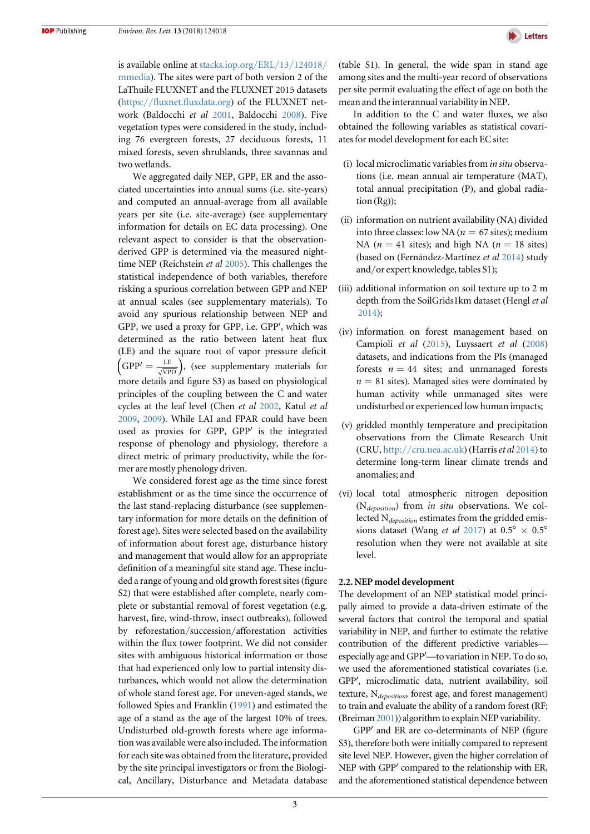is available online at [stacks.iop.org](http://stacks.iop.org/ERL/13/124018/mmedia)/ERL/13/124018/ [mmedia](http://stacks.iop.org/ERL/13/124018/mmedia)). The sites were part of both version 2 of the LaThuile FLUXNET and the FLUXNET 2015 datasets (https://fluxnet.fl[uxdata.org](https://fluxnet.fluxdata.org)) of the FLUXNET network (Baldocchi et al [2001,](#page-9-0) Baldocchi [2008](#page-9-0)). Five vegetation types were considered in the study, including 76 evergreen forests, 27 deciduous forests, 11 mixed forests, seven shrublands, three savannas and two wetlands.

We aggregated daily NEP, GPP, ER and the associated uncertainties into annual sums (i.e. site-years) and computed an annual-average from all available years per site (i.e. site-average) (see supplementary information for details on EC data processing). One relevant aspect to consider is that the observationderived GPP is determined via the measured nighttime NEP (Reichstein et al [2005](#page-10-0)). This challenges the statistical independence of both variables, therefore risking a spurious correlation between GPP and NEP at annual scales (see supplementary materials). To avoid any spurious relationship between NEP and GPP, we used a proxy for GPP, i.e. GPP′, which was determined as the ratio between latent heat flux (LE) and the square root of vapor pressure deficit  $GPP' = \frac{LE}{\sqrt{VPD}}$ , (see supplementary materials for more details and figure S3) as based on physiological principles of the coupling between the C and water cycles at the leaf level (Chen et al [2002](#page-9-0), Katul et al [2009](#page-10-0), [2009](#page-10-0)). While LAI and FPAR could have been used as proxies for GPP, GPP′ is the integrated response of phenology and physiology, therefore a direct metric of primary productivity, while the former are mostly phenology driven.

We considered forest age as the time since forest establishment or as the time since the occurrence of the last stand-replacing disturbance (see supplementary information for more details on the definition of forest age). Sites were selected based on the availability of information about forest age, disturbance history and management that would allow for an appropriate definition of a meaningful site stand age. These included a range of young and old growth forest sites(figure S2) that were established after complete, nearly complete or substantial removal of forest vegetation (e.g. harvest, fire, wind-throw, insect outbreaks), followed by reforestation/succession/afforestation activities within the flux tower footprint. We did not consider sites with ambiguous historical information or those that had experienced only low to partial intensity disturbances, which would not allow the determination of whole stand forest age. For uneven-aged stands, we followed Spies and Franklin ([1991](#page-10-0)) and estimated the age of a stand as the age of the largest 10% of trees. Undisturbed old-growth forests where age information was available were also included. The information for each site was obtained from the literature, provided by the site principal investigators or from the Biological, Ancillary, Disturbance and Metadata database



(table S1). In general, the wide span in stand age among sites and the multi-year record of observations per site permit evaluating the effect of age on both the mean and the interannual variability in NEP.

In addition to the C and water fluxes, we also obtained the following variables as statistical covariates for model development for each EC site:

- (i) local microclimatic variables from in situ observations (i.e. mean annual air temperature (MAT), total annual precipitation (P), and global radiation (Rg));
- (ii) information on nutrient availability (NA) divided into three classes: low NA ( $n = 67$  sites); medium NA ( $n = 41$  sites); and high NA ( $n = 18$  sites) (based on (Fernández-Martínez et al [2014](#page-9-0)) study and/or expert knowledge, tables S1);
- (iii) additional information on soil texture up to 2 m depth from the SoilGrids1km dataset (Hengl et al [2014](#page-9-0));
- (iv) information on forest management based on Campioli et al ([2015](#page-9-0)), Luyssaert et al ([2008](#page-10-0)) datasets, and indications from the PIs (managed forests  $n = 44$  sites; and unmanaged forests  $n = 81$  sites). Managed sites were dominated by human activity while unmanaged sites were undisturbed or experienced low human impacts;
- (v) gridded monthly temperature and precipitation observations from the Climate Research Unit (CRU, http://[cru.uea.ac.uk](http://www.cru.uea.ac.uk)) (Harris et al  $2014$ ) to determine long-term linear climate trends and anomalies; and
- (vi) local total atmospheric nitrogen deposition (N<sub>deposition</sub>) from in situ observations. We collected  $N_{deposition}$  estimates from the gridded emissions dataset (Wang *et al* [2017](#page-10-0)) at  $0.5^{\circ} \times 0.5^{\circ}$ resolution when they were not available at site level.

#### 2.2. NEP model development

The development of an NEP statistical model principally aimed to provide a data-driven estimate of the several factors that control the temporal and spatial variability in NEP, and further to estimate the relative contribution of the different predictive variables especially age and GPP′—to variation in NEP. To do so, we used the aforementioned statistical covariates (i.e. GPP′, microclimatic data, nutrient availability, soil texture,  $N_{deposition}$ , forest age, and forest management) to train and evaluate the ability of a random forest (RF; (Breiman [2001](#page-9-0))) algorithm to explain NEP variability.

GPP′ and ER are co-determinants of NEP (figure S3), therefore both were initially compared to represent site level NEP. However, given the higher correlation of NEP with GPP′ compared to the relationship with ER, and the aforementioned statistical dependence between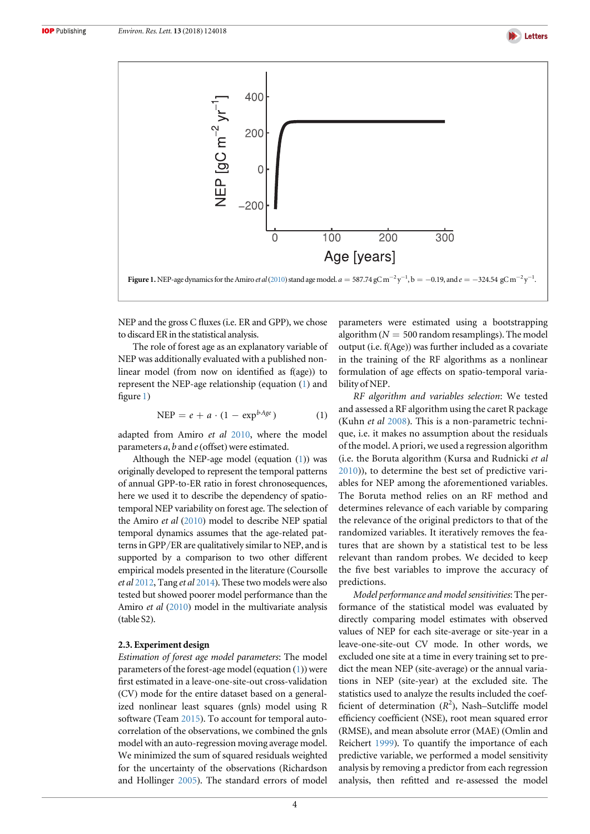

<span id="page-4-0"></span>

NEP and the gross C fluxes (i.e. ER and GPP), we chose to discard ER in the statistical analysis.

The role of forest age as an explanatory variable of NEP was additionally evaluated with a published nonlinear model (from now on identified as f(age)) to represent the NEP-age relationship (equation (1) and figure 1)

$$
NEP = e + a \cdot (1 - \exp^{b \cdot Age}) \tag{1}
$$

adapted from Amiro et al [2010](#page-9-0), where the model parameters  $a$ ,  $b$  and  $e$  (offset) were estimated.

Although the NEP-age model (equation  $(1)$ ) was originally developed to represent the temporal patterns of annual GPP-to-ER ratio in forest chronosequences, here we used it to describe the dependency of spatiotemporal NEP variability on forest age. The selection of the Amiro et al ([2010](#page-9-0)) model to describe NEP spatial temporal dynamics assumes that the age-related patterns in GPP/ER are qualitatively similar to NEP, and is supported by a comparison to two other different empirical models presented in the literature (Coursolle et al [2012](#page-9-0), Tang et al [2014](#page-10-0)). These two models were also tested but showed poorer model performance than the Amiro et al ([2010](#page-9-0)) model in the multivariate analysis (table S2).

#### 2.3. Experiment design

Estimation of forest age model parameters: The model parameters of the forest-age model (equation  $(1)$ ) were first estimated in a leave-one-site-out cross-validation (CV) mode for the entire dataset based on a generalized nonlinear least squares (gnls) model using R software (Team [2015](#page-10-0)). To account for temporal autocorrelation of the observations, we combined the gnls model with an auto-regression moving average model. We minimized the sum of squared residuals weighted for the uncertainty of the observations (Richardson and Hollinger [2005](#page-10-0)). The standard errors of model parameters were estimated using a bootstrapping algorithm ( $N = 500$  random resamplings). The model output (i.e. f(Age)) was further included as a covariate in the training of the RF algorithms as a nonlinear formulation of age effects on spatio-temporal variability of NEP.

RF algorithm and variables selection: We tested and assessed a RF algorithm using the caret R package (Kuhn et al [2008](#page-10-0)). This is a non-parametric technique, i.e. it makes no assumption about the residuals of the model. A priori, we used a regression algorithm (i.e. the Boruta algorithm (Kursa and Rudnicki et al [2010](#page-10-0))), to determine the best set of predictive variables for NEP among the aforementioned variables. The Boruta method relies on an RF method and determines relevance of each variable by comparing the relevance of the original predictors to that of the randomized variables. It iteratively removes the features that are shown by a statistical test to be less relevant than random probes. We decided to keep the five best variables to improve the accuracy of predictions.

Model performance and model sensitivities: The performance of the statistical model was evaluated by directly comparing model estimates with observed values of NEP for each site-average or site-year in a leave-one-site-out CV mode. In other words, we excluded one site at a time in every training set to predict the mean NEP (site-average) or the annual variations in NEP (site-year) at the excluded site. The statistics used to analyze the results included the coefficient of determination  $(R^2)$ , Nash-Sutcliffe model efficiency coefficient (NSE), root mean squared error (RMSE), and mean absolute error (MAE) (Omlin and Reichert [1999](#page-10-0)). To quantify the importance of each predictive variable, we performed a model sensitivity analysis by removing a predictor from each regression analysis, then refitted and re-assessed the model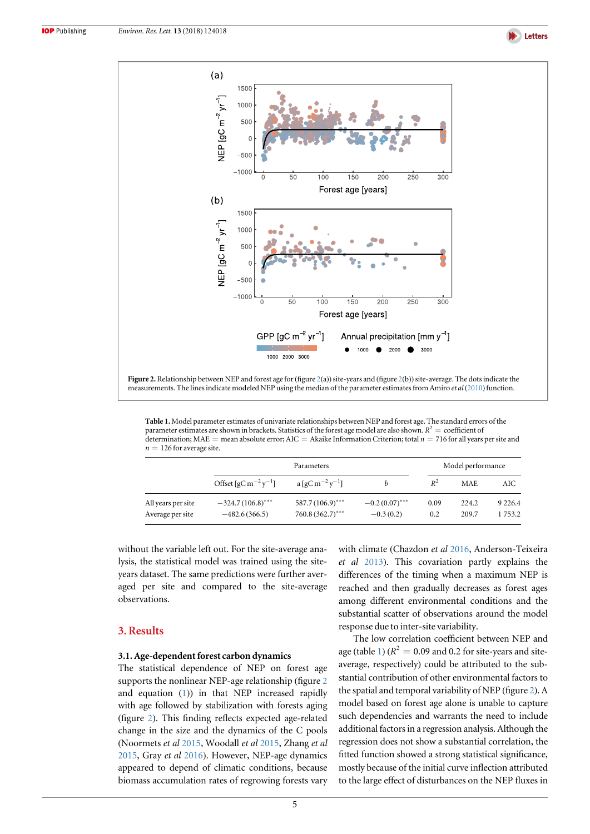

<span id="page-5-0"></span>

Figure 2. Relationship between NEP and forest age for (figure 2(a)) site-years and (figure 2(b)) site-average. The dots indicate the measurements. The lines indicate modeled NEP using the median of the parameter estimates from Amiro et al([2010](#page-9-0)) function.

Table 1. Model parameter estimates of univariate relationships between NEP and forest age. The standard errors of the parameter estimates are shown in brackets. Statistics of the forest age model are also shown.  $R^2$  = coefficient of determination; MAE = mean absolute error; AIC = Akaike Information Criterion; total  $n = 716$  for all years per site and  $n = 126$  for average site.

|                                        | Parameters                                        |                                          |                                 | Model performance |                |                      |
|----------------------------------------|---------------------------------------------------|------------------------------------------|---------------------------------|-------------------|----------------|----------------------|
|                                        | Offset [gC m <sup>-2</sup> y <sup>-1</sup> ]      | $a \left[ qC m^{-2} y^{-1} \right]$      | h                               | $R^2$             | <b>MAE</b>     | AIC                  |
| All years per site<br>Average per site | $-324.7(106.8)$ <sup>***</sup><br>$-482.6(366.5)$ | $587.7(106.9)$ ***<br>$760.8(362.7)$ *** | $-0.2(0.07)$ ***<br>$-0.3(0.2)$ | 0.09<br>0.2       | 224.2<br>209.7 | 9 2 2 6.4<br>1 753.2 |

without the variable left out. For the site-average analysis, the statistical model was trained using the siteyears dataset. The same predictions were further averaged per site and compared to the site-average observations.

#### 3. Results

#### 3.1. Age-dependent forest carbon dynamics

The statistical dependence of NEP on forest age supports the nonlinear NEP-age relationship (figure 2 and equation ([1](#page-4-0))) in that NEP increased rapidly with age followed by stabilization with forests aging (figure 2). This finding reflects expected age-related change in the size and the dynamics of the C pools (Noormets et al [2015,](#page-10-0) Woodall et al [2015,](#page-10-0) Zhang et al [2015](#page-10-0), Gray et al [2016](#page-9-0)). However, NEP-age dynamics appeared to depend of climatic conditions, because biomass accumulation rates of regrowing forests vary with climate (Chazdon et al [2016](#page-9-0), Anderson-Teixeira et al [2013](#page-9-0)). This covariation partly explains the differences of the timing when a maximum NEP is reached and then gradually decreases as forest ages among different environmental conditions and the substantial scatter of observations around the model response due to inter-site variability.

The low correlation coefficient between NEP and age (table 1) ( $R^2 = 0.09$  and 0.2 for site-years and siteaverage, respectively) could be attributed to the substantial contribution of other environmental factors to the spatial and temporal variability of NEP (figure 2). A model based on forest age alone is unable to capture such dependencies and warrants the need to include additional factors in a regression analysis. Although the regression does not show a substantial correlation, the fitted function showed a strong statistical significance, mostly because of the initial curve inflection attributed to the large effect of disturbances on the NEP fluxes in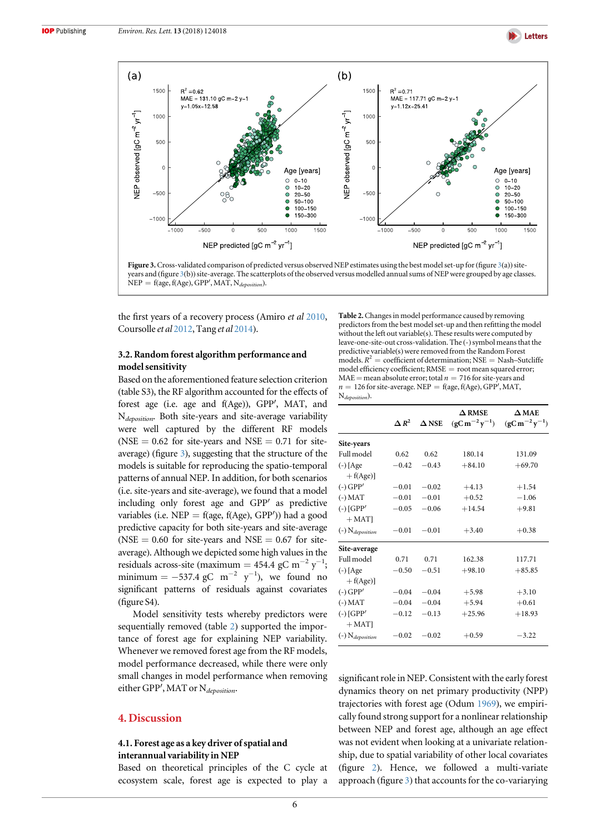

<span id="page-6-0"></span>



the first years of a recovery process (Amiro et al [2010,](#page-9-0) Coursolle et al [2012](#page-9-0), Tang et al [2014](#page-10-0)).

#### 3.2. Random forest algorithm performance and model sensitivity

Based on the aforementioned feature selection criterion (table S3), the RF algorithm accounted for the effects of forest age (i.e. age and f(Age)), GPP′, MAT, and N<sub>deposition</sub>. Both site-years and site-average variability were well captured by the different RF models (NSE =  $0.62$  for site-years and NSE =  $0.71$  for siteaverage) (figure 3), suggesting that the structure of the models is suitable for reproducing the spatio-temporal patterns of annual NEP. In addition, for both scenarios (i.e. site-years and site-average), we found that a model including only forest age and GPP′ as predictive variables (i.e. NEP = f(age, f(Age), GPP')) had a good predictive capacity for both site-years and site-average (NSE =  $0.60$  for site-years and NSE =  $0.67$  for siteaverage). Although we depicted some high values in the residuals across-site (maximum = 454.4 gC m<sup>-2</sup> y<sup>-1</sup>; minimum =  $-537.4$  gC m<sup>-2</sup> y<sup>-1</sup>), we found no significant patterns of residuals against covariates (figure S4).

Model sensitivity tests whereby predictors were sequentially removed (table 2) supported the importance of forest age for explaining NEP variability. Whenever we removed forest age from the RF models, model performance decreased, while there were only small changes in model performance when removing either GPP', MAT or  $N_{deposition}$ .

#### 4. Discussion

#### 4.1. Forest age as a key driver of spatial and interannual variability in NEP

Based on theoretical principles of the C cycle at ecosystem scale, forest age is expected to play a Table 2.Changes in model performance caused by removing predictors from the best model set-up and then refitting the model without the left out variable(s). These results were computed by leave-one-site-out cross-validation. The (-) symbol means that the predictive variable(s) were removed from the Random Forest models.  $R^2$  = coefficient of determination; NSE = Nash-Sutcliffe model efficiency coefficient; RMSE = root mean squared error; MAE = mean absolute error; total  $n = 716$  for site-years and  $n = 126$  for site-average. NEP = f(age, f(Age), GPP', MAT, N<sub>deposition</sub>).

|                                           | $\Delta R^2$ | $\Delta$ NSE | $\Delta$ RMSE<br>$(gC m^{-2} y^{-1})$ | $\Delta$ MAE<br>$(gCm^{-2}y^{-1})$ |
|-------------------------------------------|--------------|--------------|---------------------------------------|------------------------------------|
| Site-years                                |              |              |                                       |                                    |
| Full model                                | 0.62         | 0.62         | 180.14                                | 131.09                             |
| $(-)$ [Age                                | $-0.42$      | $-0.43$      | $+84.10$                              | $+69.70$                           |
| $+ f(Age)]$<br>$(-) GPP'$                 | $-0.01$      | $-0.02$      | $+4.13$                               | $+1.54$                            |
| $(-)$ MAT                                 | $-0.01$      | $-0.01$      | $+0.52$                               | $-1.06$                            |
| $(-)$ [GPP'<br>$+$ MAT $ $                | $-0.05$      | $-0.06$      | $+14.54$                              | $+9.81$                            |
| $\left( -\right)$ N <sub>deposition</sub> | $-0.01$      | $-0.01$      | $+3.40$                               | $+0.38$                            |
| Site-average                              |              |              |                                       |                                    |
| Full model                                | 0.71         | 0.71         | 162.38                                | 117.71                             |
| $(-)$ [Age<br>$+ f(Age)]$                 | $-0.50$      | $-0.51$      | $+98.10$                              | $+85.85$                           |
| $(-) GPP'$                                | $-0.04$      | $-0.04$      | $+5.98$                               | $+3.10$                            |
| $(-)$ MAT                                 | $-0.04$      | $-0.04$      | $+5.94$                               | $+0.61$                            |
| $(-)$ [GPP'<br>$+$ MAT]                   | $-0.12$      | $-0.13$      | $+25.96$                              | $+18.93$                           |
| $(-)$ N <sub>deposition</sub>             | $-0.02$      | $-0.02$      | $+0.59$                               | $-3.22$                            |

significant role in NEP. Consistent with the early forest dynamics theory on net primary productivity (NPP) trajectories with forest age (Odum [1969](#page-10-0)), we empirically found strong support for a nonlinear relationship between NEP and forest age, although an age effect was not evident when looking at a univariate relationship, due to spatial variability of other local covariates (figure [2](#page-5-0)). Hence, we followed a multi-variate approach (figure 3) that accounts for the co-variarying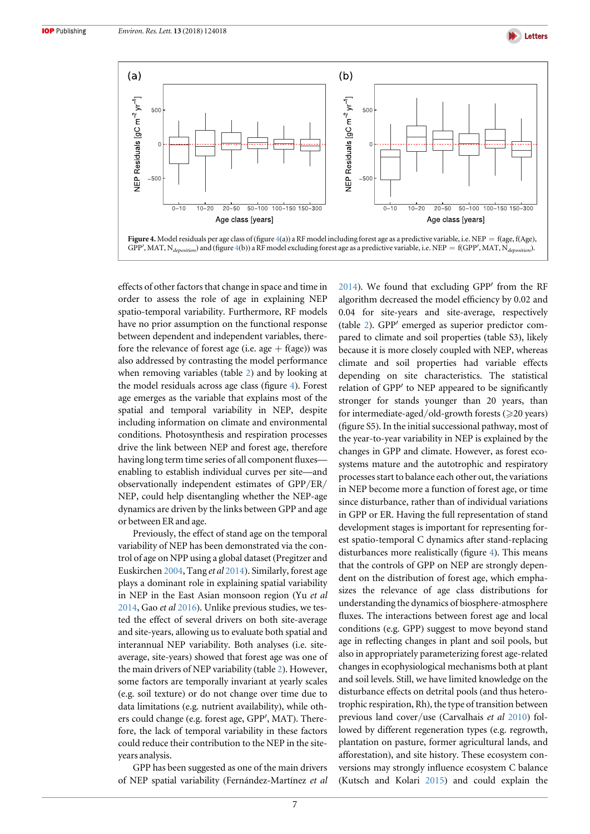

<span id="page-7-0"></span>

effects of other factors that change in space and time in order to assess the role of age in explaining NEP spatio-temporal variability. Furthermore, RF models have no prior assumption on the functional response between dependent and independent variables, therefore the relevance of forest age (i.e. age  $+$  f(age)) was also addressed by contrasting the model performance when removing variables (table [2](#page-6-0)) and by looking at the model residuals across age class (figure 4). Forest age emerges as the variable that explains most of the spatial and temporal variability in NEP, despite including information on climate and environmental conditions. Photosynthesis and respiration processes drive the link between NEP and forest age, therefore having long term time series of all component fluxes enabling to establish individual curves per site—and observationally independent estimates of GPP/ER/ NEP, could help disentangling whether the NEP-age dynamics are driven by the links between GPP and age or between ER and age.

Previously, the effect of stand age on the temporal variability of NEP has been demonstrated via the control of age on NPP using a global dataset (Pregitzer and Euskirchen [2004](#page-10-0), Tang et al [2014](#page-10-0)). Similarly, forest age plays a dominant role in explaining spatial variability in NEP in the East Asian monsoon region (Yu et al [2014](#page-10-0), Gao et al [2016](#page-9-0)). Unlike previous studies, we tested the effect of several drivers on both site-average and site-years, allowing us to evaluate both spatial and interannual NEP variability. Both analyses (i.e. siteaverage, site-years) showed that forest age was one of the main drivers of NEP variability (table [2](#page-6-0)). However, some factors are temporally invariant at yearly scales (e.g. soil texture) or do not change over time due to data limitations (e.g. nutrient availability), while others could change (e.g. forest age, GPP′, MAT). Therefore, the lack of temporal variability in these factors could reduce their contribution to the NEP in the siteyears analysis.

GPP has been suggested as one of the main drivers of NEP spatial variability (Fernández-Martínez et al [2014](#page-9-0)). We found that excluding GPP′ from the RF algorithm decreased the model efficiency by 0.02 and 0.04 for site-years and site-average, respectively (table [2](#page-6-0)). GPP′ emerged as superior predictor compared to climate and soil properties (table S3), likely because it is more closely coupled with NEP, whereas climate and soil properties had variable effects depending on site characteristics. The statistical relation of GPP′ to NEP appeared to be significantly stronger for stands younger than 20 years, than for intermediate-aged/old-growth forests  $(\geq 20 \text{ years})$ (figure S5). In the initial successional pathway, most of the year-to-year variability in NEP is explained by the changes in GPP and climate. However, as forest ecosystems mature and the autotrophic and respiratory processes start to balance each other out, the variations in NEP become more a function of forest age, or time since disturbance, rather than of individual variations in GPP or ER. Having the full representation of stand development stages is important for representing forest spatio-temporal C dynamics after stand-replacing disturbances more realistically (figure 4). This means that the controls of GPP on NEP are strongly dependent on the distribution of forest age, which emphasizes the relevance of age class distributions for understanding the dynamics of biosphere-atmosphere fluxes. The interactions between forest age and local conditions (e.g. GPP) suggest to move beyond stand age in reflecting changes in plant and soil pools, but also in appropriately parameterizing forest age-related changes in ecophysiological mechanisms both at plant and soil levels. Still, we have limited knowledge on the disturbance effects on detrital pools (and thus heterotrophic respiration, Rh), the type of transition between previous land cover/use (Carvalhais et al [2010](#page-9-0)) followed by different regeneration types (e.g. regrowth, plantation on pasture, former agricultural lands, and afforestation), and site history. These ecosystem conversions may strongly influence ecosystem C balance (Kutsch and Kolari [2015](#page-10-0)) and could explain the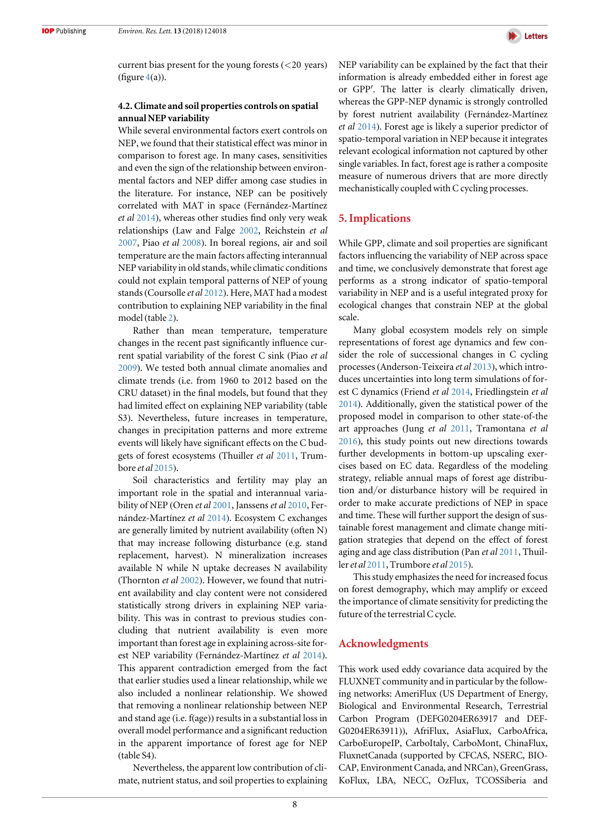

current bias present for the young forests  $(<$ 20 years) (figure  $4(a)$  $4(a)$ ).

#### 4.2. Climate and soil properties controls on spatial annual NEP variability

While several environmental factors exert controls on NEP, we found that their statistical effect was minor in comparison to forest age. In many cases, sensitivities and even the sign of the relationship between environmental factors and NEP differ among case studies in the literature. For instance, NEP can be positively correlated with MAT in space (Fernández-Martínez et al [2014](#page-9-0)), whereas other studies find only very weak relationships (Law and Falge [2002,](#page-10-0) Reichstein et al [2007](#page-10-0), Piao et al [2008](#page-10-0)). In boreal regions, air and soil temperature are the main factors affecting interannual NEP variability in old stands, while climatic conditions could not explain temporal patterns of NEP of young stands(Coursolle et al [2012](#page-9-0)). Here, MAT had a modest contribution to explaining NEP variability in the final model (table [2](#page-6-0)).

Rather than mean temperature, temperature changes in the recent past significantly influence current spatial variability of the forest C sink (Piao et al [2009](#page-10-0)). We tested both annual climate anomalies and climate trends (i.e. from 1960 to 2012 based on the CRU dataset) in the final models, but found that they had limited effect on explaining NEP variability (table S3). Nevertheless, future increases in temperature, changes in precipitation patterns and more extreme events will likely have significant effects on the C budgets of forest ecosystems (Thuiller et al [2011](#page-10-0), Trumbore et al [2015](#page-10-0)).

Soil characteristics and fertility may play an important role in the spatial and interannual varia-bility of NEP (Oren et al [2001,](#page-10-0) Janssens et al [2010,](#page-10-0) Fernández-Martínez et al [2014](#page-9-0)). Ecosystem C exchanges are generally limited by nutrient availability (often N) that may increase following disturbance (e.g. stand replacement, harvest). N mineralization increases available N while N uptake decreases N availability (Thornton et al [2002](#page-10-0)). However, we found that nutrient availability and clay content were not considered statistically strong drivers in explaining NEP variability. This was in contrast to previous studies concluding that nutrient availability is even more important than forest age in explaining across-site forest NEP variability (Fernández-Martínez et al [2014](#page-9-0)). This apparent contradiction emerged from the fact that earlier studies used a linear relationship, while we also included a nonlinear relationship. We showed that removing a nonlinear relationship between NEP and stand age (i.e. f(age)) results in a substantial loss in overall model performance and a significant reduction in the apparent importance of forest age for NEP (table S4).

Nevertheless, the apparent low contribution of climate, nutrient status, and soil properties to explaining NEP variability can be explained by the fact that their information is already embedded either in forest age or GPP′. The latter is clearly climatically driven, whereas the GPP-NEP dynamic is strongly controlled by forest nutrient availability (Fernández-Martínez et al [2014](#page-9-0)). Forest age is likely a superior predictor of spatio-temporal variation in NEP because it integrates relevant ecological information not captured by other single variables. In fact, forest age is rather a composite measure of numerous drivers that are more directly mechanistically coupled with C cycling processes.

#### 5. Implications

While GPP, climate and soil properties are significant factors influencing the variability of NEP across space and time, we conclusively demonstrate that forest age performs as a strong indicator of spatio-temporal variability in NEP and is a useful integrated proxy for ecological changes that constrain NEP at the global scale.

Many global ecosystem models rely on simple representations of forest age dynamics and few consider the role of successional changes in C cycling processes (Anderson-Teixeira et al [2013](#page-9-0)), which introduces uncertainties into long term simulations of forest C dynamics (Friend et al [2014,](#page-9-0) Friedlingstein et al [2014](#page-9-0)). Additionally, given the statistical power of the proposed model in comparison to other state-of-the art approaches (Jung et al [2011,](#page-10-0) Tramontana et al [2016](#page-10-0)), this study points out new directions towards further developments in bottom-up upscaling exercises based on EC data. Regardless of the modeling strategy, reliable annual maps of forest age distribution and/or disturbance history will be required in order to make accurate predictions of NEP in space and time. These will further support the design of sustainable forest management and climate change mitigation strategies that depend on the effect of forest aging and age class distribution (Pan *et al* [2011](#page-10-0), Thuiller et al  $2011$ , Trumbore et al  $2015$ ).

This study emphasizes the need for increased focus on forest demography, which may amplify or exceed the importance of climate sensitivity for predicting the future of the terrestrial C cycle.

#### Acknowledgments

This work used eddy covariance data acquired by the FLUXNET community and in particular by the following networks: AmeriFlux (US Department of Energy, Biological and Environmental Research, Terrestrial Carbon Program (DEFG0204ER63917 and DEF-G0204ER63911)), AfriFlux, AsiaFlux, CarboAfrica, CarboEuropeIP, CarboItaly, CarboMont, ChinaFlux, FluxnetCanada (supported by CFCAS, NSERC, BIO-CAP, Environment Canada, and NRCan), GreenGrass, KoFlux, LBA, NECC, OzFlux, TCOSSiberia and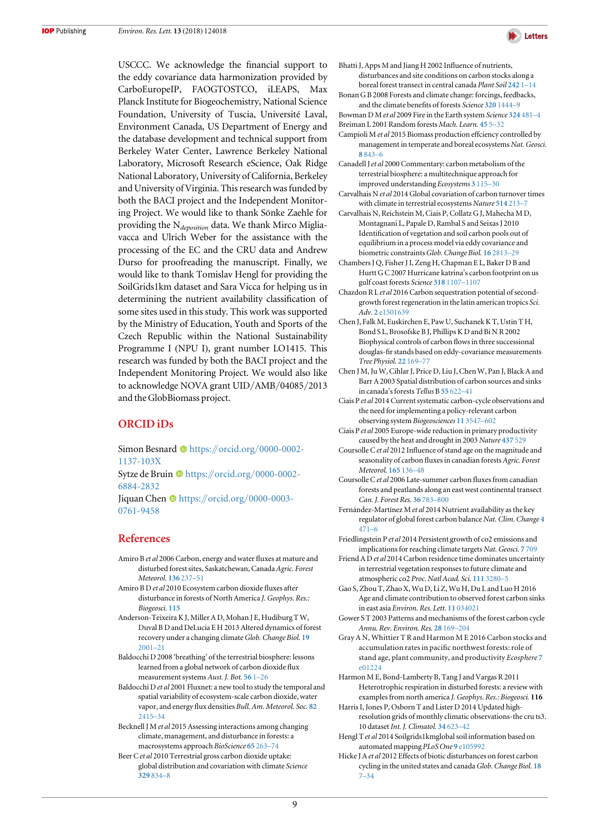<span id="page-9-0"></span>USCCC. We acknowledge the financial support to the eddy covariance data harmonization provided by CarboEuropeIP, FAOGTOSTCO, iLEAPS, Max Planck Institute for Biogeochemistry, National Science Foundation, University of Tuscia, Université Laval, Environment Canada, US Department of Energy and the database development and technical support from Berkeley Water Center, Lawrence Berkeley National Laboratory, Microsoft Research eScience, Oak Ridge National Laboratory, University of California, Berkeley and University of Virginia. This research was funded by both the BACI project and the Independent Monitoring Project. We would like to thank Sönke Zaehle for providing the N<sub>deposition</sub> data. We thank Mirco Migliavacca and Ulrich Weber for the assistance with the processing of the EC and the CRU data and Andrew Durso for proofreading the manuscript. Finally, we would like to thank Tomislav Hengl for providing the SoilGrids1km dataset and Sara Vicca for helping us in determining the nutrient availability classification of some sites used in this study. This work was supported by the Ministry of Education, Youth and Sports of the Czech Republic within the National Sustainability Programme I (NPU I), grant number LO1415. This research was funded by both the BACI project and the Independent Monitoring Project. We would also like to acknowledge NOVA grant UID/AMB/04085/2013 and the GlobBiomass project.

#### ORCID iDs

Simon Besnard C[https:](https://orcid.org/0000-0002-1137-103X)//orcid.org/[0000-0002-](https://orcid.org/0000-0002-1137-103X) [1137-103X](https://orcid.org/0000-0002-1137-103X)

Sytze de Bruin  $\bullet$  [https:](https://orcid.org/0000-0002-6884-2832)//orcid.org/[0000-0002-](https://orcid.org/0000-0002-6884-2832) [6884-2832](https://orcid.org/0000-0002-6884-2832)

Jiquan Chen  $\bullet$  [https:](https://orcid.org/0000-0003-0761-9458)//orcid.org/[0000-0003-](https://orcid.org/0000-0003-0761-9458) [0761-9458](https://orcid.org/0000-0003-0761-9458)

#### References

- Amiro B et al 2006 Carbon, energy and water fluxes at mature and disturbed forest sites, Saskatchewan, Canada Agric. Forest Meteorol. [136](https://doi.org/10.1016/j.agrformet.2004.11.012) 237–51
- Amiro B D et al 2010 Ecosystem carbon dioxide fluxes after disturbance in forests of North America J. Geophys. Res.: Biogeosci. [115](https://doi.org/10.1029/2010JG001390)
- Anderson-Teixeira K J, Miller A D, Mohan J E, Hudiburg T W, Duval B D and DeLucia E H 2013 Altered dynamics of forest recovery under a changing climate Glob. Change Biol. [19](https://doi.org/10.1111/gcb.12194) [2001](https://doi.org/10.1111/gcb.12194)–21
- Baldocchi D 2008 'breathing' of the terrestrial biosphere: lessons learned from a global network of carbon dioxide flux measurement systems Aust. J. Bot. [56](https://doi.org/10.1071/BT07151) 1–26
- Baldocchi D et al 2001 Fluxnet: a new tool to study the temporal and spatial variability of ecosystem-scale carbon dioxide, water vapor, and energy flux densities Bull. Am. Meteorol. Soc. [82](https://doi.org/10.1175/1520-0477(2001)082<2415:FANTTS>2.3.CO;2) [2415](https://doi.org/10.1175/1520-0477(2001)082<2415:FANTTS>2.3.CO;2)–34
- Becknell J M et al 2015 Assessing interactions among changing climate, management, and disturbance in forests: a macrosystems approach BioScience 65 [263](https://doi.org/10.1093/biosci/biu234)–74
- Beer Cet al 2010 Terrestrial gross carbon dioxide uptake: global distribution and covariation with climate Scienc[e](https://doi.org/10.1126/science.1184984) 329 [834](https://doi.org/10.1126/science.1184984)–8



Bhatti J, Apps M and Jiang H 2002 Influence of nutrients,

disturbances and site conditions on carbon stocks along a boreal forest transect in central canada Plant Soil [242](https://doi.org/10.1023/A:1019670619316) 1–14 Bonan G B 2008 Forests and climate change: forcings, feedbacks,

and the climate benefits of forests Science 320 [1444](https://doi.org/10.1126/science.1155121)–9 Bowman D M et al 2009 Fire in the Earth system Science [324](https://doi.org/10.1126/science.1163886) 481–4 Breiman L 2001 Random forests Mach. Learn. [45](https://doi.org/10.1023/A:1010933404324) 5–32

Campioli M et al 2015 Biomass production effciency controlled by management in temperate and boreal ecosystems Nat. Geosci. 8 [843](https://doi.org/10.1038/ngeo2553)–6

- Canadell J et al 2000 Commentary: carbon metabolism of the terrestrial biosphere: a multitechnique approach for improved understanding Ecosystems 3 [115](https://doi.org/10.1007/s100210000014)–30
- Carvalhais N et al 2014 Global covariation of carbon turnover times with climate in terrestrial ecosystems Nature [514](https://doi.org/10.1038/nature13731) 213–7
- Carvalhais N, Reichstein M, Ciais P, Collatz G J, Mahecha M D, Montagnani L, Papale D, Rambal S and Seixas J 2010 Identification of vegetation and soil carbon pools out of equilibrium in a process model via eddy covariance and biometric constraints Glob. Change Biol. 16 [2813](https://doi.org/10.1111/j.1365-2486.2010.02173.x)-29
- Chambers J Q, Fisher J I, Zeng H, Chapman E L, Baker D B and Hurtt G C 2007 Hurricane katrina's carbon footprint on us gulf coast forests Science 318 [1107](https://doi.org/10.1126/science.1148913)–1107
- Chazdon R L et al 2016 Carbon sequestration potential of secondgrowth forest regeneration in the latin american tropics Sci.  $Adv$  2 [e1501639](https://doi.org/10.1126/sciadv.1501639)
- Chen J, Falk M, Euskirchen E, Paw U, Suchanek K T, Ustin T H, Bond S L, Brosofske B J, Phillips K D and Bi N R 2002 Biophysical controls of carbon flows in three successional douglas-fir stands based on eddy-covariance measurements Tree Physiol. 22 [169](https://doi.org/10.1093/treephys/22.2-3.169)–77
- Chen J M, Ju W, Cihlar J, Price D, Liu J, Chen W, Pan J, Black A and Barr A 2003 Spatial distribution of carbon sources and sinks in canada's forests Tellus B 55 [622](https://doi.org/10.1034/j.1600-0889.2003.00036.x)–41
- Ciais P et al 2014 Current systematic carbon-cycle observations and the need for implementing a policy-relevant carbon observing system Biogeosciences 11 [3547](https://doi.org/10.5194/bg-11-3547-2014)–602
- Ciais P et al 2005 Europe-wide reduction in primary productivity caused by the heat and drought in 2003 Nature [437](https://doi.org/10.1038/nature03972) 529
- Coursolle Cet al 2012 Influence of stand age on the magnitude and seasonality of carbon fluxes in canadian forests Agric. Forest Meteorol. [165](https://doi.org/10.1016/j.agrformet.2012.06.011) 136–48
- Coursolle Cet al 2006 Late-summer carbon fluxes from canadian forests and peatlands along an east west continental transect Can. J. Forest Res. 36 [783](https://doi.org/10.1139/x05-270)–800
- Fernández-Martínez M et al 2014 Nutrient availability as the key regulator of global forest carbon balance Nat. Clim. Change [4](https://doi.org/10.1038/nclimate2177) [471](https://doi.org/10.1038/nclimate2177)–6
- Friedlingstein P et al 2014 Persistent growth of co2 emissions and implications for reaching climate targets Nat. Geosci. 7 [709](https://doi.org/10.1038/ngeo2248)
- Friend A D et al 2014 Carbon residence time dominates uncertainty in terrestrial vegetation responses to future climate and atmospheric co2 Proc. Natl Acad. Sci. 111 [3280](https://doi.org/10.1073/pnas.1222477110)–5
- Gao S, Zhou T, Zhao X, Wu D, Li Z, Wu H, Du L and Luo H 2016 Age and climate contribution to observed forest carbon sinks in east asia Environ. Res. Lett. 11 [034021](https://doi.org/10.1088/1748-9326/11/3/034021)
- Gower S T 2003 Patterns and mechanisms of the forest carbon cycle Annu. Rev. Environ. Res. 28 [169](https://doi.org/10.1146/annurev.energy.28.050302.105515)–204
- Gray A N, Whittier T R and Harmon M E 2016 Carbon stocks and accumulation rates in pacific northwest forests: role of stand age, plant community, and productivity Ecosphere [7](https://doi.org/10.1002/ecs2.1224) [e01224](https://doi.org/10.1002/ecs2.1224)

Harmon M E, Bond-Lamberty B, Tang J and Vargas R 2011 Heterotrophic respiration in disturbed forests: a review with examples from north america J. Geophys. Res.: Biogeosci. 116

- Harris I, Jones P, Osborn T and Lister D 2014 Updated highresolution grids of monthly climatic observations-the cru ts3. 10 dataset Int. J. Climatol. 34 [623](https://doi.org/10.1002/joc.3711)–42
- Hengl T et al 2014 Soilgrids1kmglobal soil information based on automated mapping PLoS One 9 [e105992](https://doi.org/10.1371/journal.pone.0105992)
- Hicke J A et al 2012 Effects of biotic disturbances on forest carbon cycling in the united states and canada Glob. Change Biol. [18](https://doi.org/10.1111/j.1365-2486.2011.02543.x) [7](https://doi.org/10.1111/j.1365-2486.2011.02543.x)–[34](https://doi.org/10.1111/j.1365-2486.2011.02543.x)